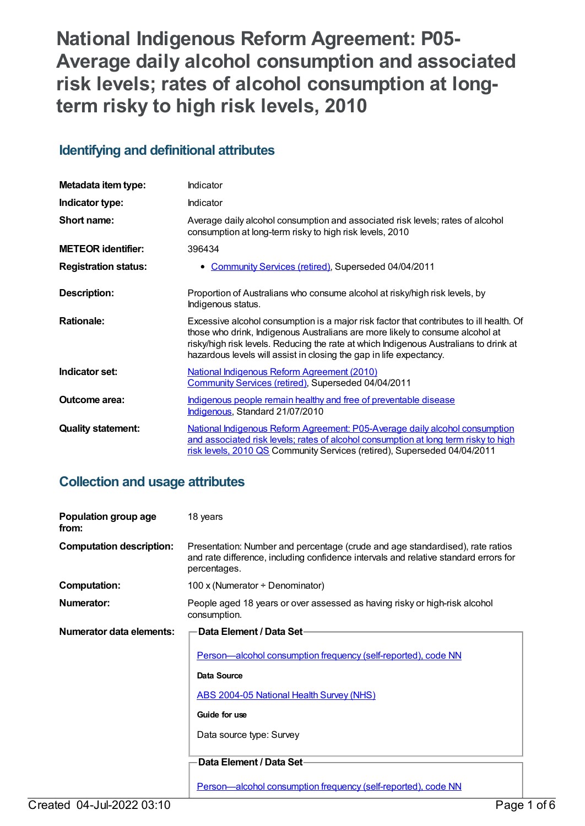**National Indigenous Reform Agreement: P05- Average daily alcohol consumption and associated risk levels; rates of alcohol consumption at longterm risky to high risk levels, 2010**

# **Identifying and definitional attributes**

| Metadata item type:         | <b>Indicator</b>                                                                                                                                                                                                                                                                                                                         |
|-----------------------------|------------------------------------------------------------------------------------------------------------------------------------------------------------------------------------------------------------------------------------------------------------------------------------------------------------------------------------------|
| Indicator type:             | Indicator                                                                                                                                                                                                                                                                                                                                |
| Short name:                 | Average daily alcohol consumption and associated risk levels; rates of alcohol<br>consumption at long-term risky to high risk levels, 2010                                                                                                                                                                                               |
| <b>METEOR identifier:</b>   | 396434                                                                                                                                                                                                                                                                                                                                   |
| <b>Registration status:</b> | Community Services (retired), Superseded 04/04/2011                                                                                                                                                                                                                                                                                      |
| <b>Description:</b>         | Proportion of Australians who consume alcohol at risky/high risk levels, by<br>Indigenous status.                                                                                                                                                                                                                                        |
| <b>Rationale:</b>           | Excessive alcohol consumption is a major risk factor that contributes to ill health. Of<br>those who drink, Indigenous Australians are more likely to consume alcohol at<br>risky/high risk levels. Reducing the rate at which Indigenous Australians to drink at<br>hazardous levels will assist in closing the gap in life expectancy. |
| Indicator set:              | <b>National Indigenous Reform Agreement (2010)</b><br>Community Services (retired), Superseded 04/04/2011                                                                                                                                                                                                                                |
| <b>Outcome area:</b>        | Indigenous people remain healthy and free of preventable disease<br>Indigenous, Standard 21/07/2010                                                                                                                                                                                                                                      |
| <b>Quality statement:</b>   | National Indigenous Reform Agreement: P05-Average daily alcohol consumption<br>and associated risk levels; rates of alcohol consumption at long term risky to high<br>risk levels, 2010 QS Community Services (retired), Superseded 04/04/2011                                                                                           |

# **Collection and usage attributes**

| Population group age<br>from:   | 18 years                                                                                                                                                                              |
|---------------------------------|---------------------------------------------------------------------------------------------------------------------------------------------------------------------------------------|
| <b>Computation description:</b> | Presentation: Number and percentage (crude and age standardised), rate ratios<br>and rate difference, including confidence intervals and relative standard errors for<br>percentages. |
| <b>Computation:</b>             | 100 x (Numerator $\div$ Denominator)                                                                                                                                                  |
| Numerator:                      | People aged 18 years or over assessed as having risky or high-risk alcohol<br>consumption.                                                                                            |
| Numerator data elements:        | Data Element / Data Set-                                                                                                                                                              |
|                                 | Person-alcohol consumption frequency (self-reported), code NN                                                                                                                         |
|                                 | Data Source                                                                                                                                                                           |
|                                 | ABS 2004-05 National Health Survey (NHS)                                                                                                                                              |
|                                 | Guide for use                                                                                                                                                                         |
|                                 | Data source type: Survey                                                                                                                                                              |
|                                 |                                                                                                                                                                                       |
|                                 | Data Element / Data Set-                                                                                                                                                              |
|                                 | <u>Person—alcohol consumption frequency (self-reported), code NN</u>                                                                                                                  |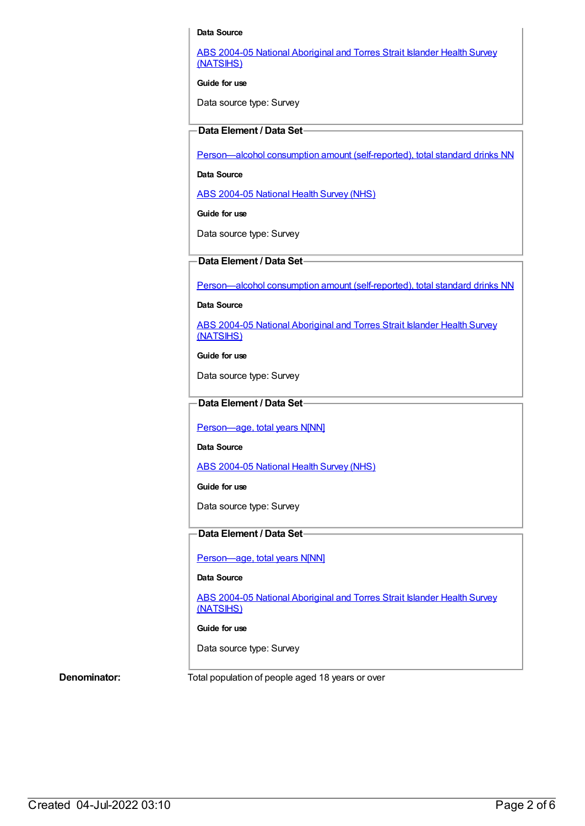#### **Data Source**

ABS 2004-05 National [Aboriginal](https://meteor.aihw.gov.au/content/394146) and Torres Strait Islander Health Survey (NATSIHS)

**Guide for use**

Data source type: Survey

## **Data Element / Data Set**

[Person—alcohol](https://meteor.aihw.gov.au/content/270249) consumption amount (self-reported), total standard drinks NN

**Data Source**

ABS [2004-05](https://meteor.aihw.gov.au/content/394145) National Health Survey (NHS)

**Guide for use**

Data source type: Survey

### **Data Element / Data Set**

[Person—alcohol](https://meteor.aihw.gov.au/content/270249) consumption amount (self-reported), total standard drinks NN

#### **Data Source**

ABS 2004-05 National [Aboriginal](https://meteor.aihw.gov.au/content/394146) and Torres Strait Islander Health Survey (NATSIHS)

**Guide for use**

Data source type: Survey

## **Data Element / Data Set**

Person-age, total years N[NN]

**Data Source**

ABS [2004-05](https://meteor.aihw.gov.au/content/394145) National Health Survey (NHS)

**Guide for use**

Data source type: Survey

## **Data Element / Data Set**

[Person—age,](https://meteor.aihw.gov.au/content/303794) total years N[NN]

#### **Data Source**

ABS 2004-05 National [Aboriginal](https://meteor.aihw.gov.au/content/394146) and Torres Strait Islander Health Survey (NATSIHS)

#### **Guide for use**

Data source type: Survey

**Denominator:** Total population of people aged 18 years or over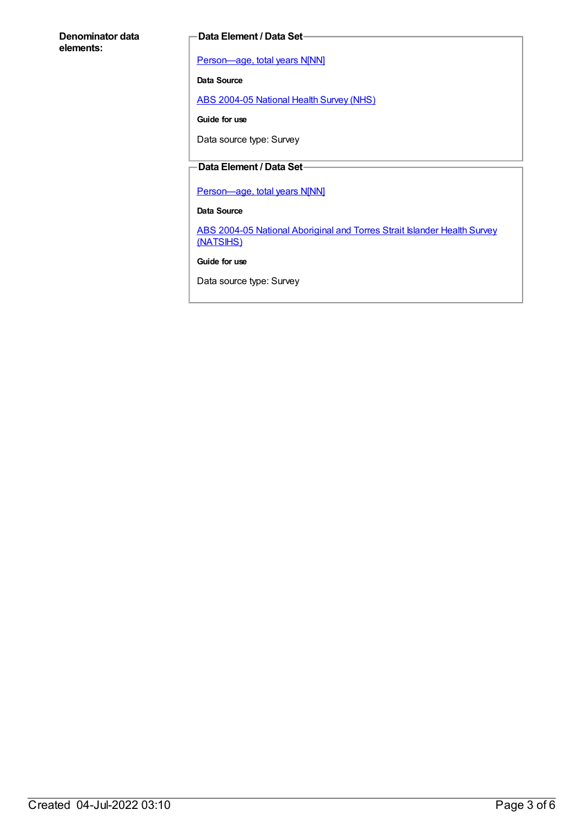#### **Denominator data elements:**

#### **Data Element / Data Set**

[Person—age,](https://meteor.aihw.gov.au/content/303794) total years N[NN]

**Data Source**

ABS [2004-05](https://meteor.aihw.gov.au/content/394145) National Health Survey (NHS)

**Guide for use**

Data source type: Survey

# **Data Element / Data Set**

[Person—age,](https://meteor.aihw.gov.au/content/303794) total years N[NN]

**Data Source**

ABS 2004-05 National [Aboriginal](https://meteor.aihw.gov.au/content/394146) and Torres Strait Islander Health Survey (NATSIHS)

**Guide for use**

Data source type: Survey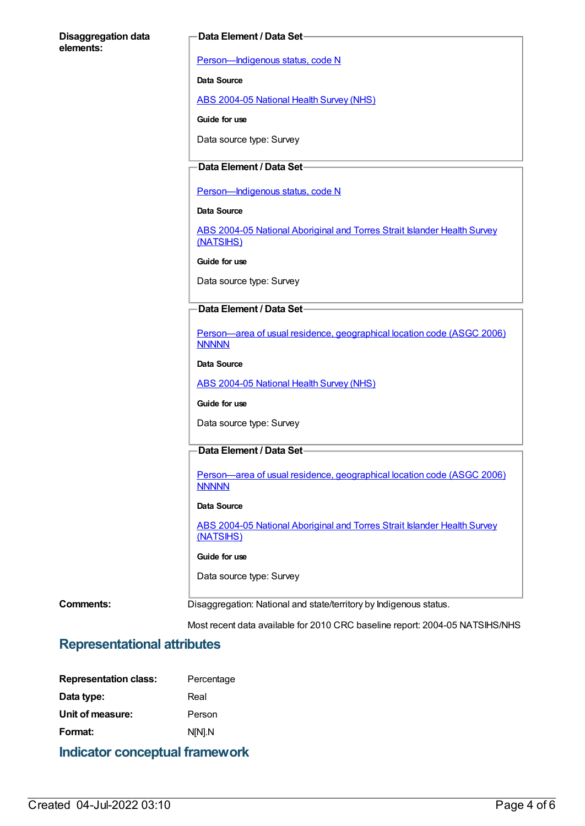#### **Disaggregation data elements:**

#### **Data Element / Data Set**

[Person—Indigenous](https://meteor.aihw.gov.au/content/291036) status, code N

**Data Source**

ABS [2004-05](https://meteor.aihw.gov.au/content/394145) National Health Survey (NHS)

**Guide for use**

Data source type: Survey

# **Data Element / Data Set**

Person-Indigenous status, code N

**Data Source**

ABS 2004-05 National [Aboriginal](https://meteor.aihw.gov.au/content/394146) and Torres Strait Islander Health Survey (NATSIHS)

**Guide for use**

Data source type: Survey

## **Data Element / Data Set**

[Person—area](https://meteor.aihw.gov.au/content/341800) of usual residence, geographical location code (ASGC 2006) **NNNNN** 

**Data Source**

ABS [2004-05](https://meteor.aihw.gov.au/content/394145) National Health Survey (NHS)

**Guide for use**

Data source type: Survey

# **Data Element / Data Set**

[Person—area](https://meteor.aihw.gov.au/content/341800) of usual residence, geographical location code (ASGC 2006) **NNNNN** 

#### **Data Source**

ABS 2004-05 National [Aboriginal](https://meteor.aihw.gov.au/content/394146) and Torres Strait Islander Health Survey (NATSIHS)

#### **Guide for use**

Data source type: Survey

**Comments:** Disaggregation: National and state/territory by Indigenous status.

Most recent data available for 2010 CRC baseline report: 2004-05 NATSIHS/NHS

# **Representational attributes**

| <b>Representation class:</b> | Percentage |
|------------------------------|------------|
| Data type:                   | Real       |
| Unit of measure:             | Person     |
| Format:                      | N[N].N     |
|                              |            |

# **Indicator conceptual framework**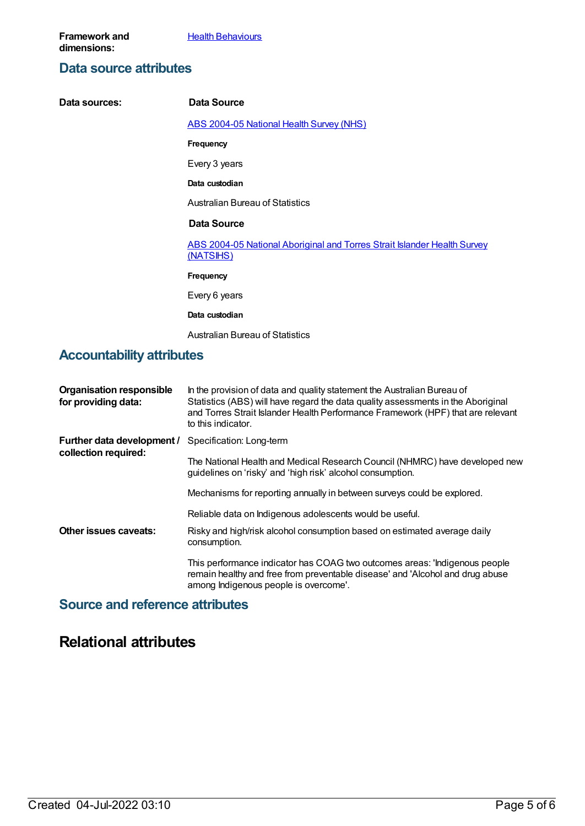# **Data source attributes**

| Data sources:                    | Data Source                                                                           |
|----------------------------------|---------------------------------------------------------------------------------------|
|                                  | <b>ABS 2004-05 National Health Survey (NHS)</b>                                       |
|                                  | <b>Frequency</b>                                                                      |
|                                  | Every 3 years                                                                         |
|                                  | Data custodian                                                                        |
|                                  | <b>Australian Bureau of Statistics</b>                                                |
|                                  | Data Source                                                                           |
|                                  | ABS 2004-05 National Aboriginal and Torres Strait Islander Health Survey<br>(NATSIHS) |
|                                  | <b>Frequency</b>                                                                      |
|                                  | Every 6 years                                                                         |
|                                  | Data custodian                                                                        |
|                                  | <b>Australian Bureau of Statistics</b>                                                |
| <b>Accountability attributes</b> |                                                                                       |

| <b>Organisation responsible</b><br>for providing data: | In the provision of data and quality statement the Australian Bureau of<br>Statistics (ABS) will have regard the data quality assessments in the Aboriginal<br>and Torres Strait Islander Health Performance Framework (HPF) that are relevant<br>to this indicator. |
|--------------------------------------------------------|----------------------------------------------------------------------------------------------------------------------------------------------------------------------------------------------------------------------------------------------------------------------|
| Further data development /<br>collection required:     | Specification: Long-term                                                                                                                                                                                                                                             |
|                                                        | The National Health and Medical Research Council (NHMRC) have developed new<br>guidelines on 'risky' and 'high risk' alcohol consumption.                                                                                                                            |
|                                                        | Mechanisms for reporting annually in between surveys could be explored.                                                                                                                                                                                              |
|                                                        | Reliable data on Indigenous adolescents would be useful.                                                                                                                                                                                                             |
| Other issues caveats:                                  | Risky and high/risk alcohol consumption based on estimated average daily<br>consumption.                                                                                                                                                                             |
|                                                        | This performance indicator has COAG two outcomes areas: 'Indigenous people<br>remain healthy and free from preventable disease' and 'Alcohol and drug abuse<br>among Indigenous people is overcome'.                                                                 |

# **Source and reference attributes**

# **Relational attributes**